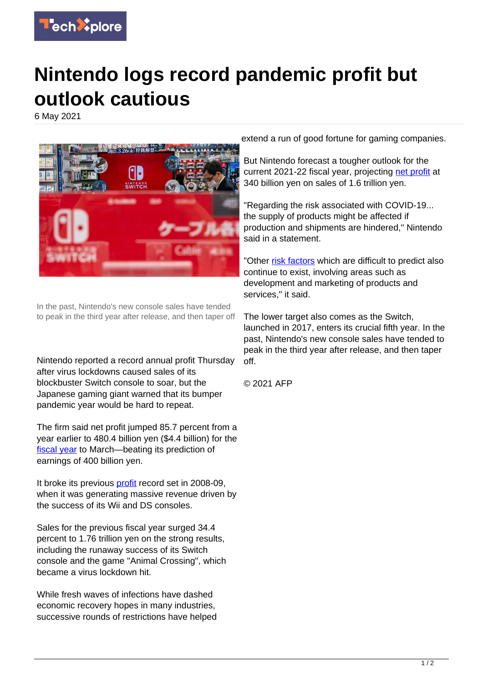

## **Nintendo logs record pandemic profit but outlook cautious**

6 May 2021



In the past, Nintendo's new console sales have tended to peak in the third year after release, and then taper off

Nintendo reported a record annual profit Thursday after virus lockdowns caused sales of its blockbuster Switch console to soar, but the Japanese gaming giant warned that its bumper pandemic year would be hard to repeat.

The firm said net profit jumped 85.7 percent from a year earlier to 480.4 billion yen (\$4.4 billion) for the [fiscal year](https://techxplore.com/tags/fiscal+year/) to March—beating its prediction of earnings of 400 billion yen.

It broke its previous [profit](https://techxplore.com/tags/profit/) record set in 2008-09, when it was generating massive revenue driven by the success of its Wii and DS consoles.

Sales for the previous fiscal year surged 34.4 percent to 1.76 trillion yen on the strong results, including the runaway success of its Switch console and the game "Animal Crossing", which became a virus lockdown hit.

While fresh waves of infections have dashed economic recovery hopes in many industries, successive rounds of restrictions have helped extend a run of good fortune for gaming companies.

But Nintendo forecast a tougher outlook for the current 2021-22 fiscal year, projecting [net profit](https://techxplore.com/tags/net+profit/) at 340 billion yen on sales of 1.6 trillion yen.

"Regarding the risk associated with COVID-19... the supply of products might be affected if production and shipments are hindered," Nintendo said in a statement.

"Other [risk factors](https://techxplore.com/tags/risk+factors/) which are difficult to predict also continue to exist, involving areas such as development and marketing of products and services," it said.

The lower target also comes as the Switch, launched in 2017, enters its crucial fifth year. In the past, Nintendo's new console sales have tended to peak in the third year after release, and then taper off.

© 2021 AFP